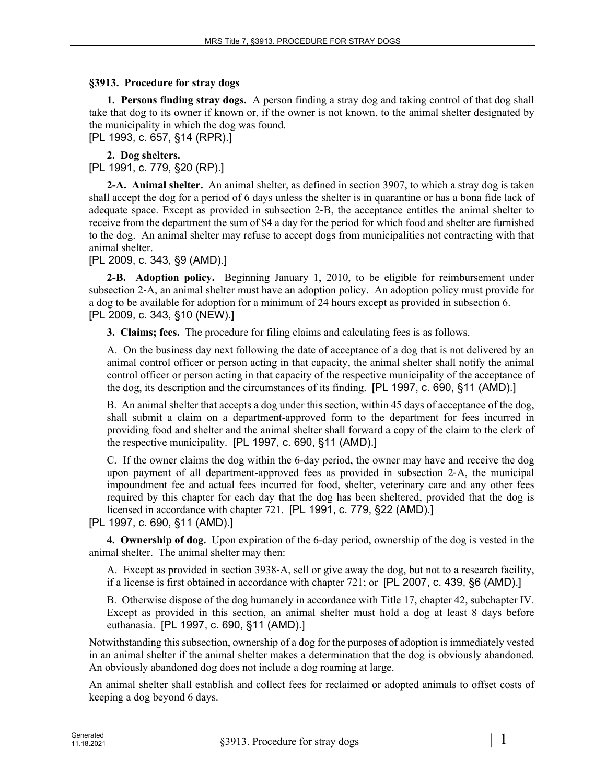## **§3913. Procedure for stray dogs**

**1. Persons finding stray dogs.** A person finding a stray dog and taking control of that dog shall take that dog to its owner if known or, if the owner is not known, to the animal shelter designated by the municipality in which the dog was found.

[PL 1993, c. 657, §14 (RPR).]

**2. Dog shelters.** 

[PL 1991, c. 779, §20 (RP).]

**2-A. Animal shelter.** An animal shelter, as defined in section 3907, to which a stray dog is taken shall accept the dog for a period of 6 days unless the shelter is in quarantine or has a bona fide lack of adequate space. Except as provided in subsection 2‑B, the acceptance entitles the animal shelter to receive from the department the sum of \$4 a day for the period for which food and shelter are furnished to the dog. An animal shelter may refuse to accept dogs from municipalities not contracting with that animal shelter.

[PL 2009, c. 343, §9 (AMD).]

**2-B. Adoption policy.** Beginning January 1, 2010, to be eligible for reimbursement under subsection 2‑A, an animal shelter must have an adoption policy. An adoption policy must provide for a dog to be available for adoption for a minimum of 24 hours except as provided in subsection 6. [PL 2009, c. 343, §10 (NEW).]

**3. Claims; fees.** The procedure for filing claims and calculating fees is as follows.

A. On the business day next following the date of acceptance of a dog that is not delivered by an animal control officer or person acting in that capacity, the animal shelter shall notify the animal control officer or person acting in that capacity of the respective municipality of the acceptance of the dog, its description and the circumstances of its finding. [PL 1997, c. 690, §11 (AMD).]

B. An animal shelter that accepts a dog under this section, within 45 days of acceptance of the dog, shall submit a claim on a department-approved form to the department for fees incurred in providing food and shelter and the animal shelter shall forward a copy of the claim to the clerk of the respective municipality. [PL 1997, c. 690, §11 (AMD).]

C. If the owner claims the dog within the 6-day period, the owner may have and receive the dog upon payment of all department-approved fees as provided in subsection 2‑A, the municipal impoundment fee and actual fees incurred for food, shelter, veterinary care and any other fees required by this chapter for each day that the dog has been sheltered, provided that the dog is licensed in accordance with chapter 721. [PL 1991, c. 779, §22 (AMD).]

[PL 1997, c. 690, §11 (AMD).]

**4. Ownership of dog.** Upon expiration of the 6-day period, ownership of the dog is vested in the animal shelter. The animal shelter may then:

A. Except as provided in section 3938‑A, sell or give away the dog, but not to a research facility, if a license is first obtained in accordance with chapter 721; or [PL 2007, c. 439, §6 (AMD).]

B. Otherwise dispose of the dog humanely in accordance with Title 17, chapter 42, subchapter IV. Except as provided in this section, an animal shelter must hold a dog at least 8 days before euthanasia. [PL 1997, c. 690, §11 (AMD).]

Notwithstanding this subsection, ownership of a dog for the purposes of adoption is immediately vested in an animal shelter if the animal shelter makes a determination that the dog is obviously abandoned. An obviously abandoned dog does not include a dog roaming at large.

An animal shelter shall establish and collect fees for reclaimed or adopted animals to offset costs of keeping a dog beyond 6 days.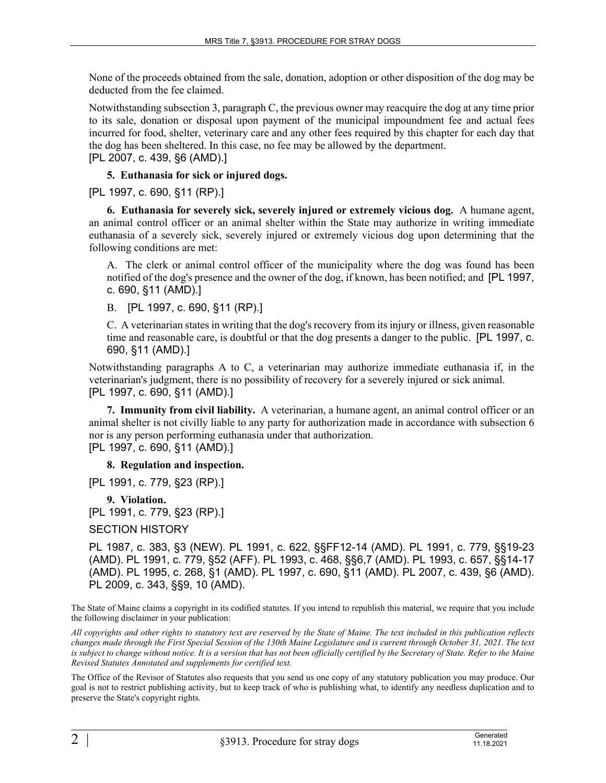None of the proceeds obtained from the sale, donation, adoption or other disposition of the dog may be deducted from the fee claimed.

Notwithstanding subsection 3, paragraph C, the previous owner may reacquire the dog at any time prior to its sale, donation or disposal upon payment of the municipal impoundment fee and actual fees incurred for food, shelter, veterinary care and any other fees required by this chapter for each day that the dog has been sheltered. In this case, no fee may be allowed by the department.

[PL 2007, c. 439, §6 (AMD).]

## **5. Euthanasia for sick or injured dogs.**

[PL 1997, c. 690, §11 (RP).]

**6. Euthanasia for severely sick, severely injured or extremely vicious dog.** A humane agent, an animal control officer or an animal shelter within the State may authorize in writing immediate euthanasia of a severely sick, severely injured or extremely vicious dog upon determining that the following conditions are met:

A. The clerk or animal control officer of the municipality where the dog was found has been notified of the dog's presence and the owner of the dog, if known, has been notified; and [PL 1997, c. 690, §11 (AMD).]

B. [PL 1997, c. 690, §11 (RP).]

C. A veterinarian states in writing that the dog's recovery from its injury or illness, given reasonable time and reasonable care, is doubtful or that the dog presents a danger to the public. [PL 1997, c. 690, §11 (AMD).]

Notwithstanding paragraphs A to C, a veterinarian may authorize immediate euthanasia if, in the veterinarian's judgment, there is no possibility of recovery for a severely injured or sick animal. [PL 1997, c. 690, §11 (AMD).]

**7. Immunity from civil liability.** A veterinarian, a humane agent, an animal control officer or an animal shelter is not civilly liable to any party for authorization made in accordance with subsection 6 nor is any person performing euthanasia under that authorization. [PL 1997, c. 690, §11 (AMD).]

**8. Regulation and inspection.** 

[PL 1991, c. 779, §23 (RP).]

**9. Violation.** 

[PL 1991, c. 779, §23 (RP).]

SECTION HISTORY

PL 1987, c. 383, §3 (NEW). PL 1991, c. 622, §§FF12-14 (AMD). PL 1991, c. 779, §§19-23 (AMD). PL 1991, c. 779, §52 (AFF). PL 1993, c. 468, §§6,7 (AMD). PL 1993, c. 657, §§14-17 (AMD). PL 1995, c. 268, §1 (AMD). PL 1997, c. 690, §11 (AMD). PL 2007, c. 439, §6 (AMD). PL 2009, c. 343, §§9, 10 (AMD).

The State of Maine claims a copyright in its codified statutes. If you intend to republish this material, we require that you include the following disclaimer in your publication:

*All copyrights and other rights to statutory text are reserved by the State of Maine. The text included in this publication reflects changes made through the First Special Session of the 130th Maine Legislature and is current through October 31, 2021. The text*  is subject to change without notice. It is a version that has not been officially certified by the Secretary of State. Refer to the Maine *Revised Statutes Annotated and supplements for certified text.*

The Office of the Revisor of Statutes also requests that you send us one copy of any statutory publication you may produce. Our goal is not to restrict publishing activity, but to keep track of who is publishing what, to identify any needless duplication and to preserve the State's copyright rights.